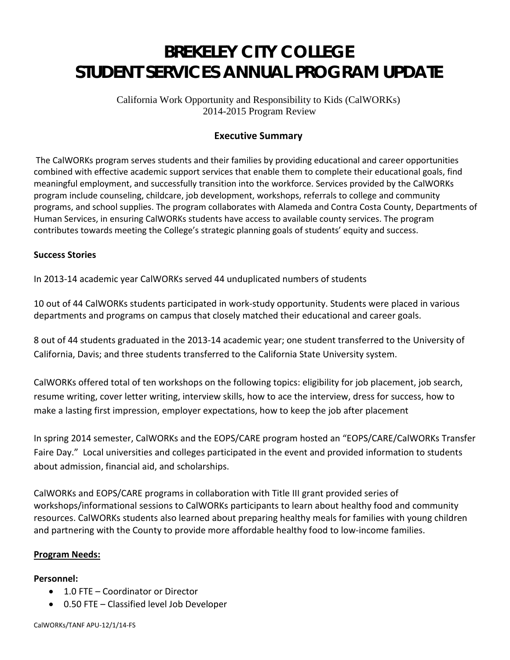# **BREKELEY CITY COLLEGE STUDENT SERVICES ANNUAL PROGRAM UPDATE**

California Work Opportunity and Responsibility to Kids (CalWORKs) 2014-2015 Program Review

## **Executive Summary**

The CalWORKs program serves students and their families by providing educational and career opportunities combined with effective academic support services that enable them to complete their educational goals, find meaningful employment, and successfully transition into the workforce. Services provided by the CalWORKs program include counseling, childcare, job development, workshops, referrals to college and community programs, and school supplies. The program collaborates with Alameda and Contra Costa County, Departments of Human Services, in ensuring CalWORKs students have access to available county services. The program contributes towards meeting the College's strategic planning goals of students' equity and success.

## **Success Stories**

In 2013-14 academic year CalWORKs served 44 unduplicated numbers of students

10 out of 44 CalWORKs students participated in work-study opportunity. Students were placed in various departments and programs on campus that closely matched their educational and career goals.

8 out of 44 students graduated in the 2013-14 academic year; one student transferred to the University of California, Davis; and three students transferred to the California State University system.

CalWORKs offered total of ten workshops on the following topics: eligibility for job placement, job search, resume writing, cover letter writing, interview skills, how to ace the interview, dress for success, how to make a lasting first impression, employer expectations, how to keep the job after placement

In spring 2014 semester, CalWORKs and the EOPS/CARE program hosted an "EOPS/CARE/CalWORKs Transfer Faire Day." Local universities and colleges participated in the event and provided information to students about admission, financial aid, and scholarships.

CalWORKs and EOPS/CARE programs in collaboration with Title III grant provided series of workshops/informational sessions to CalWORKs participants to learn about healthy food and community resources. CalWORKs students also learned about preparing healthy meals for families with young children and partnering with the County to provide more affordable healthy food to low-income families.

## **Program Needs:**

## **Personnel:**

- 1.0 FTE Coordinator or Director
- 0.50 FTE Classified level Job Developer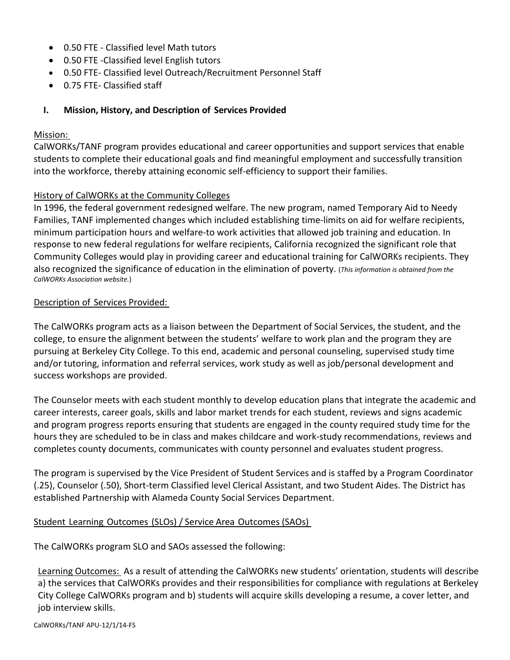- 0.50 FTE Classified level Math tutors
- 0.50 FTE -Classified level English tutors
- 0.50 FTE- Classified level Outreach/Recruitment Personnel Staff
- 0.75 FTE- Classified staff

## **I. Mission, History, and Description of Services Provided**

#### Mission:

CalWORKs/TANF program provides educational and career opportunities and support services that enable students to complete their educational goals and find meaningful employment and successfully transition into the workforce, thereby attaining economic self-efficiency to support their families.

## History of CalWORKs at the Community Colleges

In 1996, the federal government redesigned welfare. The new program, named Temporary Aid to Needy Families, TANF implemented changes which included establishing time-limits on aid for welfare recipients, minimum participation hours and welfare-to work activities that allowed job training and education. In response to new federal regulations for welfare recipients, California recognized the significant role that Community Colleges would play in providing career and educational training for CalWORKs recipients. They also recognized the significance of education in the elimination of poverty. (*This information is obtained from the CalWORKs Association website.*)

#### Description of Services Provided:

The CalWORKs program acts as a liaison between the Department of Social Services, the student, and the college, to ensure the alignment between the students' welfare to work plan and the program they are pursuing at Berkeley City College. To this end, academic and personal counseling, supervised study time and/or tutoring, information and referral services, work study as well as job/personal development and success workshops are provided.

The Counselor meets with each student monthly to develop education plans that integrate the academic and career interests, career goals, skills and labor market trends for each student, reviews and signs academic and program progress reports ensuring that students are engaged in the county required study time for the hours they are scheduled to be in class and makes childcare and work-study recommendations, reviews and completes county documents, communicates with county personnel and evaluates student progress.

The program is supervised by the Vice President of Student Services and is staffed by a Program Coordinator (.25), Counselor (.50), Short-term Classified level Clerical Assistant, and two Student Aides. The District has established Partnership with Alameda County Social Services Department.

## Student Learning Outcomes (SLOs) / Service Area Outcomes (SAOs)

The CalWORKs program SLO and SAOs assessed the following:

Learning Outcomes: As a result of attending the CalWORKs new students' orientation, students will describe a) the services that CalWORKs provides and their responsibilities for compliance with regulations at Berkeley City College CalWORKs program and b) students will acquire skills developing a resume, a cover letter, and job interview skills.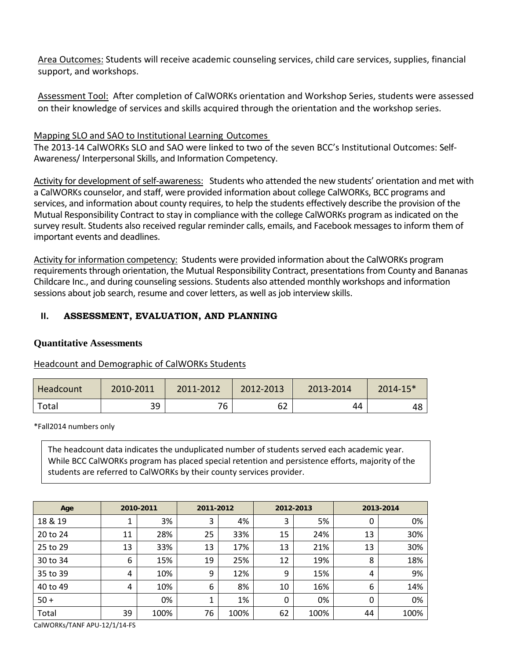Area Outcomes: Students will receive academic counseling services, child care services, supplies, financial support, and workshops.

Assessment Tool: After completion of CalWORKs orientation and Workshop Series, students were assessed on their knowledge of services and skills acquired through the orientation and the workshop series.

## Mapping SLO and SAO to Institutional Learning Outcomes

The 2013-14 CalWORKs SLO and SAO were linked to two of the seven BCC's Institutional Outcomes: Self-Awareness/ Interpersonal Skills, and Information Competency.

Activity for development of self-awareness: Students who attended the new students' orientation and met with a CalWORKs counselor, and staff, were provided information about college CalWORKs, BCC programs and services, and information about county requires, to help the students effectively describe the provision of the Mutual Responsibility Contract to stay in compliance with the college CalWORKs program as indicated on the survey result. Students also received regular reminder calls, emails, and Facebook messages to inform them of important events and deadlines.

Activity for information competency: Students were provided information about the CalWORKs program requirements through orientation, the Mutual Responsibility Contract, presentations from County and Bananas Childcare Inc., and during counseling sessions. Students also attended monthly workshops and information sessions about job search, resume and cover letters, as well as job interview skills.

## **II. ASSESSMENT, EVALUATION, AND PLANNING**

## **Quantitative Assessments**

## Headcount and Demographic of CalWORKs Students

| Headcount | 2010-2011 | 2011-2012 | 2012-2013 | 2013-2014 | 2014-15* |
|-----------|-----------|-----------|-----------|-----------|----------|
| Total     | 39        | 76        | 62        | 44        | 48       |

\*Fall2014 numbers only

The headcount data indicates the unduplicated number of students served each academic year. While BCC CalWORKs program has placed special retention and persistence efforts, majority of the students are referred to CalWORKs by their county services provider.

| Age      |    | 2010-2011 | 2011-2012 |      | 2012-2013 |      |    | 2013-2014 |
|----------|----|-----------|-----------|------|-----------|------|----|-----------|
| 18 & 19  | ┻  | 3%        | 3         | 4%   | 3         | 5%   | 0  | 0%        |
| 20 to 24 | 11 | 28%       | 25        | 33%  | 15        | 24%  | 13 | 30%       |
| 25 to 29 | 13 | 33%       | 13        | 17%  | 13        | 21%  | 13 | 30%       |
| 30 to 34 | 6  | 15%       | 19        | 25%  | 12        | 19%  | 8  | 18%       |
| 35 to 39 | 4  | 10%       | 9         | 12%  | 9         | 15%  | 4  | 9%        |
| 40 to 49 | 4  | 10%       | 6         | 8%   | 10        | 16%  | 6  | 14%       |
| $50 +$   |    | 0%        |           | 1%   | 0         | 0%   | 0  | 0%        |
| Total    | 39 | 100%      | 76        | 100% | 62        | 100% | 44 | 100%      |

CalWORKs/TANF APU-12/1/14-FS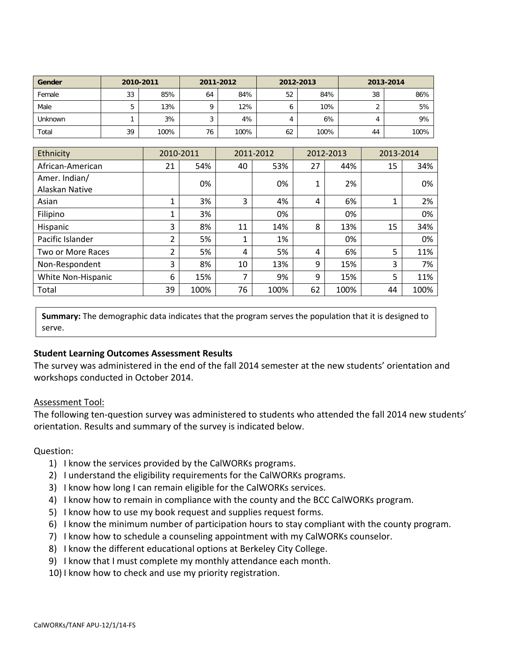| Gender  | 2010-2011 |      | 2011-2012 |      | 2012-2013 |      | 2013-2014  |      |
|---------|-----------|------|-----------|------|-----------|------|------------|------|
| Female  | 33        | 85%  | 64        | 84%  | 52        | 84%  | 38         | 86%  |
| Male    | 5         | 13%  | O         | 12%  | o         | 10%  | $\sqrt{2}$ | 5%   |
| Unknown |           | 3%   |           | 4%   |           | 6%   | 4          | 9%   |
| Total   | 39        | 100% | 76        | 100% | 62        | 100% | 44         | 100% |

| Ethnicity                       | 2010-2011      |      |    | 2011-2012 | 2012-2013 |      | 2013-2014 |      |
|---------------------------------|----------------|------|----|-----------|-----------|------|-----------|------|
| African-American                | 21             | 54%  | 40 | 53%       | 27        | 44%  | 15        | 34%  |
| Amer. Indian/<br>Alaskan Native |                | 0%   |    | 0%        | 1         | 2%   |           | 0%   |
| Asian                           |                | 3%   | 3  | 4%        | 4         | 6%   |           | 2%   |
| Filipino                        |                | 3%   |    | 0%        |           | 0%   |           | 0%   |
| Hispanic                        | 3              | 8%   | 11 | 14%       | 8         | 13%  | 15        | 34%  |
| Pacific Islander                | $\overline{2}$ | 5%   | 1  | 1%        |           | 0%   |           | 0%   |
| Two or More Races               | $\overline{2}$ | 5%   | 4  | 5%        | 4         | 6%   | 5         | 11%  |
| Non-Respondent                  | 3              | 8%   | 10 | 13%       | 9         | 15%  | 3         | 7%   |
| White Non-Hispanic              | 6              | 15%  | ⇁  | 9%        | 9         | 15%  | 5         | 11%  |
| Total                           | 39             | 100% | 76 | 100%      | 62        | 100% | 44        | 100% |

**Summary:** The demographic data indicates that the program serves the population that it is designed to serve.

## **Student Learning Outcomes Assessment Results**

The survey was administered in the end of the fall 2014 semester at the new students' orientation and workshops conducted in October 2014.

## Assessment Tool:

The following ten-question survey was administered to students who attended the fall 2014 new students' orientation. Results and summary of the survey is indicated below.

## Question:

- 1) I know the services provided by the CalWORKs programs.
- 2) I understand the eligibility requirements for the CalWORKs programs.
- 3) I know how long I can remain eligible for the CalWORKs services.
- 4) I know how to remain in compliance with the county and the BCC CalWORKs program.
- 5) I know how to use my book request and supplies request forms.
- 6) I know the minimum number of participation hours to stay compliant with the county program.
- 7) I know how to schedule a counseling appointment with my CalWORKs counselor.
- 8) I know the different educational options at Berkeley City College.
- 9) I know that I must complete my monthly attendance each month.
- 10) I know how to check and use my priority registration.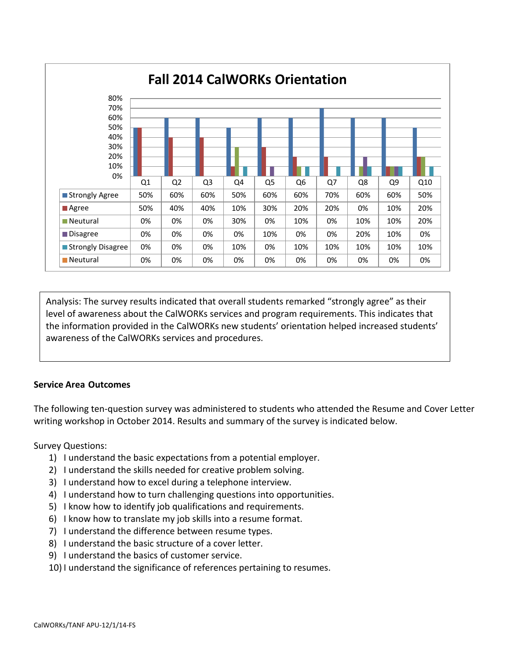

Analysis: The survey results indicated that overall students remarked "strongly agree" as their level of awareness about the CalWORKs services and program requirements. This indicates that the information provided in the CalWORKs new students' orientation helped increased students' awareness of the CalWORKs services and procedures.

## **Service Area Outcomes**

The following ten-question survey was administered to students who attended the Resume and Cover Letter writing workshop in October 2014. Results and summary of the survey is indicated below.

Survey Questions:

- 1) I understand the basic expectations from a potential employer.
- 2) I understand the skills needed for creative problem solving.
- 3) I understand how to excel during a telephone interview.
- 4) I understand how to turn challenging questions into opportunities.
- 5) I know how to identify job qualifications and requirements.
- 6) I know how to translate my job skills into a resume format.
- 7) I understand the difference between resume types.
- 8) I understand the basic structure of a cover letter.
- 9) I understand the basics of customer service.
- 10) I understand the significance of references pertaining to resumes.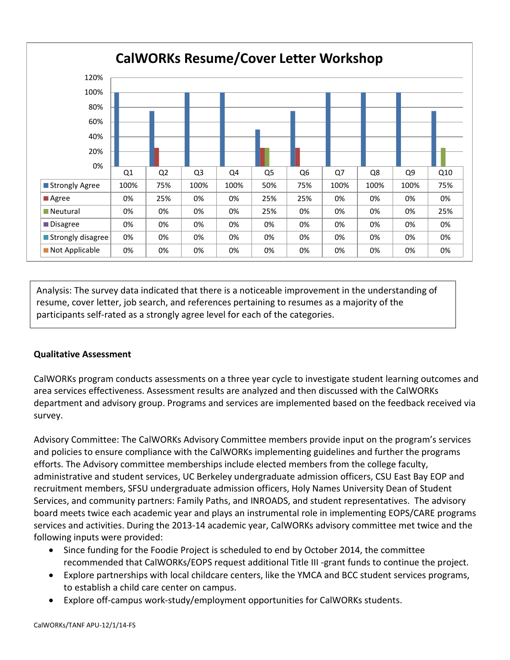

Analysis: The survey data indicated that there is a noticeable improvement in the understanding of resume, cover letter, job search, and references pertaining to resumes as a majority of the participants self-rated as a strongly agree level for each of the categories.

## **Qualitative Assessment**

CalWORKs program conducts assessments on a three year cycle to investigate student learning outcomes and area services effectiveness. Assessment results are analyzed and then discussed with the CalWORKs department and advisory group. Programs and services are implemented based on the feedback received via survey.

Advisory Committee: The CalWORKs Advisory Committee members provide input on the program's services and policies to ensure compliance with the CalWORKs implementing guidelines and further the programs efforts. The Advisory committee memberships include elected members from the college faculty, administrative and student services, UC Berkeley undergraduate admission officers, CSU East Bay EOP and recruitment members, SFSU undergraduate admission officers, Holy Names University Dean of Student Services, and community partners: Family Paths, and INROADS, and student representatives. The advisory board meets twice each academic year and plays an instrumental role in implementing EOPS/CARE programs services and activities. During the 2013-14 academic year, CalWORKs advisory committee met twice and the following inputs were provided:

- Since funding for the Foodie Project is scheduled to end by October 2014, the committee recommended that CalWORKs/EOPS request additional Title III -grant funds to continue the project.
- Explore partnerships with local childcare centers, like the YMCA and BCC student services programs, to establish a child care center on campus.
- Explore off-campus work-study/employment opportunities for CalWORKs students.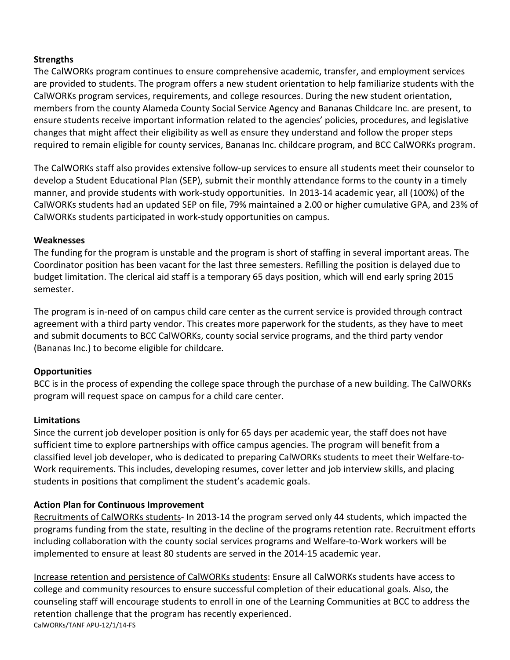## **Strengths**

The CalWORKs program continues to ensure comprehensive academic, transfer, and employment services are provided to students. The program offers a new student orientation to help familiarize students with the CalWORKs program services, requirements, and college resources. During the new student orientation, members from the county Alameda County Social Service Agency and Bananas Childcare Inc. are present, to ensure students receive important information related to the agencies' policies, procedures, and legislative changes that might affect their eligibility as well as ensure they understand and follow the proper steps required to remain eligible for county services, Bananas Inc. childcare program, and BCC CalWORKs program.

The CalWORKs staff also provides extensive follow-up services to ensure all students meet their counselor to develop a Student Educational Plan (SEP), submit their monthly attendance forms to the county in a timely manner, and provide students with work-study opportunities. In 2013-14 academic year, all (100%) of the CalWORKs students had an updated SEP on file, 79% maintained a 2.00 or higher cumulative GPA, and 23% of CalWORKs students participated in work-study opportunities on campus.

## **Weaknesses**

The funding for the program is unstable and the program is short of staffing in several important areas. The Coordinator position has been vacant for the last three semesters. Refilling the position is delayed due to budget limitation. The clerical aid staff is a temporary 65 days position, which will end early spring 2015 semester.

The program is in-need of on campus child care center as the current service is provided through contract agreement with a third party vendor. This creates more paperwork for the students, as they have to meet and submit documents to BCC CalWORKs, county social service programs, and the third party vendor (Bananas Inc.) to become eligible for childcare.

# **Opportunities**

BCC is in the process of expending the college space through the purchase of a new building. The CalWORKs program will request space on campus for a child care center.

# **Limitations**

Since the current job developer position is only for 65 days per academic year, the staff does not have sufficient time to explore partnerships with office campus agencies. The program will benefit from a classified level job developer, who is dedicated to preparing CalWORKs students to meet their Welfare-to-Work requirements. This includes, developing resumes, cover letter and job interview skills, and placing students in positions that compliment the student's academic goals.

# **Action Plan for Continuous Improvement**

Recruitments of CalWORKs students- In 2013-14 the program served only 44 students, which impacted the programs funding from the state, resulting in the decline of the programs retention rate. Recruitment efforts including collaboration with the county social services programs and Welfare-to-Work workers will be implemented to ensure at least 80 students are served in the 2014-15 academic year.

Increase retention and persistence of CalWORKs students: Ensure all CalWORKs students have access to college and community resources to ensure successful completion of their educational goals. Also, the counseling staff will encourage students to enroll in one of the Learning Communities at BCC to address the retention challenge that the program has recently experienced. CalWORKs/TANF APU-12/1/14-FS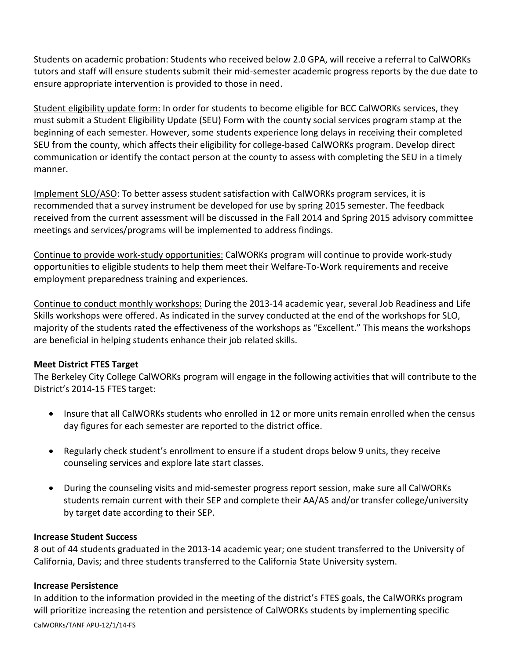Students on academic probation: Students who received below 2.0 GPA, will receive a referral to CalWORKs tutors and staff will ensure students submit their mid-semester academic progress reports by the due date to ensure appropriate intervention is provided to those in need.

Student eligibility update form: In order for students to become eligible for BCC CalWORKs services, they must submit a Student Eligibility Update (SEU) Form with the county social services program stamp at the beginning of each semester. However, some students experience long delays in receiving their completed SEU from the county, which affects their eligibility for college-based CalWORKs program. Develop direct communication or identify the contact person at the county to assess with completing the SEU in a timely manner.

Implement SLO/ASO: To better assess student satisfaction with CalWORKs program services, it is recommended that a survey instrument be developed for use by spring 2015 semester. The feedback received from the current assessment will be discussed in the Fall 2014 and Spring 2015 advisory committee meetings and services/programs will be implemented to address findings.

Continue to provide work-study opportunities: CalWORKs program will continue to provide work-study opportunities to eligible students to help them meet their Welfare-To-Work requirements and receive employment preparedness training and experiences.

Continue to conduct monthly workshops: During the 2013-14 academic year, several Job Readiness and Life Skills workshops were offered. As indicated in the survey conducted at the end of the workshops for SLO, majority of the students rated the effectiveness of the workshops as "Excellent." This means the workshops are beneficial in helping students enhance their job related skills.

## **Meet District FTES Target**

The Berkeley City College CalWORKs program will engage in the following activities that will contribute to the District's 2014-15 FTES target:

- Insure that all CalWORKs students who enrolled in 12 or more units remain enrolled when the census day figures for each semester are reported to the district office.
- Regularly check student's enrollment to ensure if a student drops below 9 units, they receive counseling services and explore late start classes.
- During the counseling visits and mid-semester progress report session, make sure all CalWORKs students remain current with their SEP and complete their AA/AS and/or transfer college/university by target date according to their SEP.

## **Increase Student Success**

8 out of 44 students graduated in the 2013-14 academic year; one student transferred to the University of California, Davis; and three students transferred to the California State University system.

## **Increase Persistence**

In addition to the information provided in the meeting of the district's FTES goals, the CalWORKs program will prioritize increasing the retention and persistence of CalWORKs students by implementing specific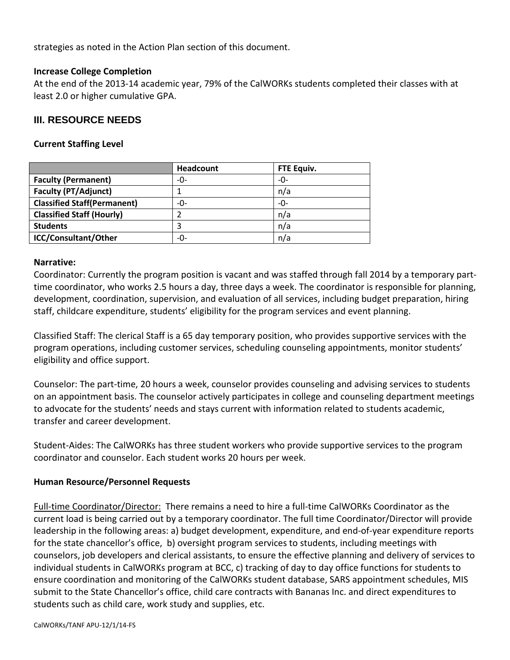strategies as noted in the Action Plan section of this document.

#### **Increase College Completion**

At the end of the 2013-14 academic year, 79% of the CalWORKs students completed their classes with at least 2.0 or higher cumulative GPA.

## **III. RESOURCE NEEDS**

#### **Current Staffing Level**

|                                    | Headcount | FTE Equiv. |
|------------------------------------|-----------|------------|
| <b>Faculty (Permanent)</b>         | -0-       | -0-        |
| <b>Faculty (PT/Adjunct)</b>        |           | n/a        |
| <b>Classified Staff(Permanent)</b> | -0-       | -0-        |
| <b>Classified Staff (Hourly)</b>   |           | n/a        |
| <b>Students</b>                    |           | n/a        |
| <b>ICC/Consultant/Other</b>        | -0-       | n/a        |

#### **Narrative:**

Coordinator: Currently the program position is vacant and was staffed through fall 2014 by a temporary parttime coordinator, who works 2.5 hours a day, three days a week. The coordinator is responsible for planning, development, coordination, supervision, and evaluation of all services, including budget preparation, hiring staff, childcare expenditure, students' eligibility for the program services and event planning.

Classified Staff: The clerical Staff is a 65 day temporary position, who provides supportive services with the program operations, including customer services, scheduling counseling appointments, monitor students' eligibility and office support.

Counselor: The part-time, 20 hours a week, counselor provides counseling and advising services to students on an appointment basis. The counselor actively participates in college and counseling department meetings to advocate for the students' needs and stays current with information related to students academic, transfer and career development.

Student-Aides: The CalWORKs has three student workers who provide supportive services to the program coordinator and counselor. Each student works 20 hours per week.

## **Human Resource/Personnel Requests**

Full-time Coordinator/Director: There remains a need to hire a full-time CalWORKs Coordinator as the current load is being carried out by a temporary coordinator. The full time Coordinator/Director will provide leadership in the following areas: a) budget development, expenditure, and end-of-year expenditure reports for the state chancellor's office, b) oversight program services to students, including meetings with counselors, job developers and clerical assistants, to ensure the effective planning and delivery of services to individual students in CalWORKs program at BCC, c) tracking of day to day office functions for students to ensure coordination and monitoring of the CalWORKs student database, SARS appointment schedules, MIS submit to the State Chancellor's office, child care contracts with Bananas Inc. and direct expenditures to students such as child care, work study and supplies, etc.